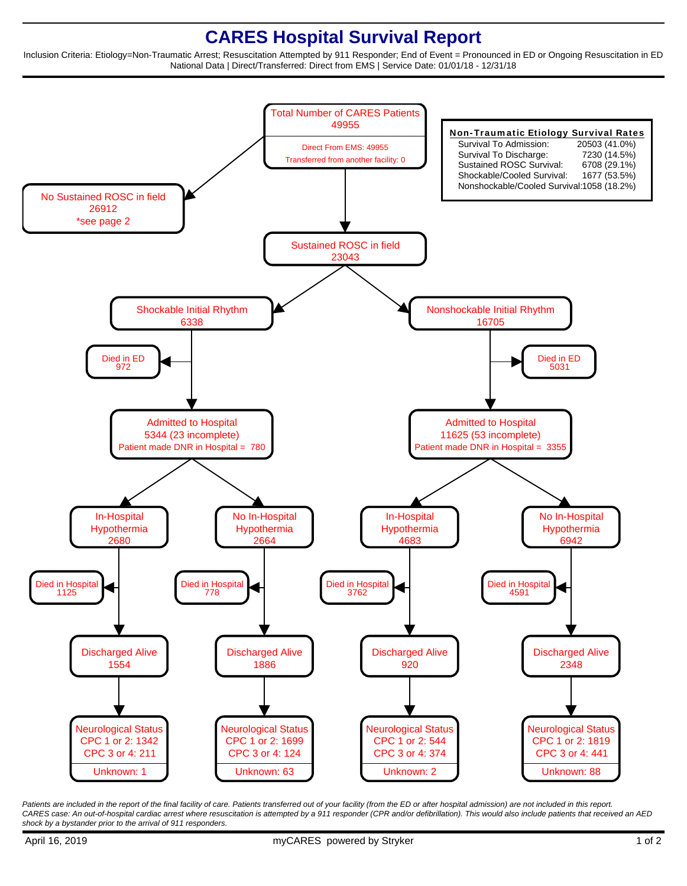## **CARES Hospital Survival Report**

Inclusion Criteria: Etiology=Non-Traumatic Arrest; Resuscitation Attempted by 911 Responder; End of Event = Pronounced in ED or Ongoing Resuscitation in ED National Data | Direct/Transferred: Direct from EMS | Service Date: 01/01/18 - 12/31/18



Patients are included in the report of the final facility of care. Patients transferred out of your facility (from the ED or after hospital admission) are not included in this report. CARES case: An out-of-hospital cardiac arrest where resuscitation is attempted by a 911 responder (CPR and/or defibrillation). This would also include patients that received an AED shock by a bystander prior to the arrival of 911 responders.